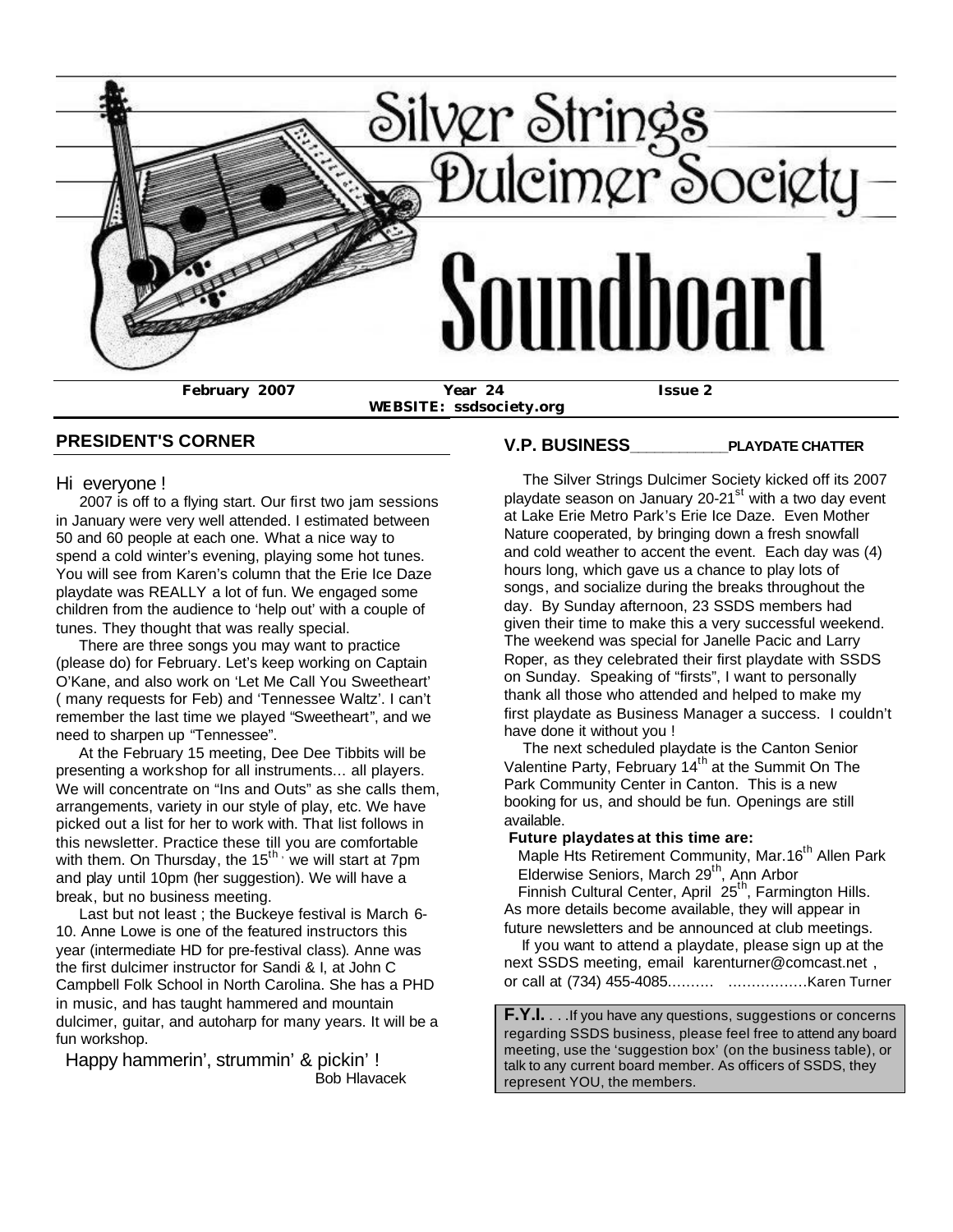

**WEBSITE: ssdsociety.org**

**V.P. BUSINESS\_\_\_\_\_\_\_\_\_\_\_\_PLAYDATE CHATTER**

#### **PRESIDENT'S CORNER**

#### Hi everyone !

 2007 is off to a flying start. Our first two jam sessions in January were very well attended. I estimated between 50 and 60 people at each one. What a nice way to spend a cold winter's evening, playing some hot tunes. You will see from Karen's column that the Erie Ice Daze playdate was REALLY a lot of fun. We engaged some children from the audience to 'help out' with a couple of tunes. They thought that was really special.

 There are three songs you may want to practice (please do) for February. Let's keep working on Captain O'Kane, and also work on 'Let Me Call You Sweetheart' ( many requests for Feb) and 'Tennessee Waltz'. I can't remember the last time we played "Sweetheart", and we need to sharpen up "Tennessee".

 At the February 15 meeting, Dee Dee Tibbits will be presenting a workshop for all instruments... all players. We will concentrate on "Ins and Outs" as she calls them. arrangements, variety in our style of play, etc. We have picked out a list for her to work with. That list follows in this newsletter. Practice these till you are comfortable with them. On Thursday, the  $15<sup>th</sup>$ , we will start at 7pm and play until 10pm (her suggestion). We will have a break, but no business meeting.

 Last but not least ; the Buckeye festival is March 6- 10. Anne Lowe is one of the featured instructors this year (intermediate HD for pre-festival class). Anne was the first dulcimer instructor for Sandi & I, at John C Campbell Folk School in North Carolina. She has a PHD in music, and has taught hammered and mountain dulcimer, guitar, and autoharp for many years. It will be a fun workshop.

 Happy hammerin', strummin' & pickin' ! Bob Hlavacek

 The Silver Strings Dulcimer Society kicked off its 2007 playdate season on January 20-21<sup>st</sup> with a two day event at Lake Erie Metro Park's Erie Ice Daze. Even Mother Nature cooperated, by bringing down a fresh snowfall and cold weather to accent the event. Each day was (4) hours long, which gave us a chance to play lots of songs, and socialize during the breaks throughout the day. By Sunday afternoon, 23 SSDS members had given their time to make this a very successful weekend. The weekend was special for Janelle Pacic and Larry

Roper, as they celebrated their first playdate with SSDS on Sunday. Speaking of "firsts", I want to personally thank all those who attended and helped to make my first playdate as Business Manager a success. I couldn't have done it without you !

 The next scheduled playdate is the Canton Senior Valentine Party, February 14<sup>th</sup> at the Summit On The Park Community Center in Canton. This is a new booking for us, and should be fun. Openings are still available.

**Future playdates at this time are:**

Maple Hts Retirement Community, Mar.16<sup>th</sup> Allen Park Elderwise Seniors, March 29<sup>th</sup>, Ann Arbor Finnish Cultural Center, April 25<sup>th</sup>, Farmington Hills. As more details become available, they will appear in

future newsletters and be announced at club meetings. If you want to attend a playdate, please sign up at the

next SSDS meeting, email karenturner@comcast.net , or call at (734) 455-4085.......... .................Karen Turner

**F.Y.I.** . . .If you have any questions, suggestions or concerns regarding SSDS business, please feel free to attend any board meeting, use the 'suggestion box' (on the business table), or talk to any current board member. As officers of SSDS, they represent YOU, the members.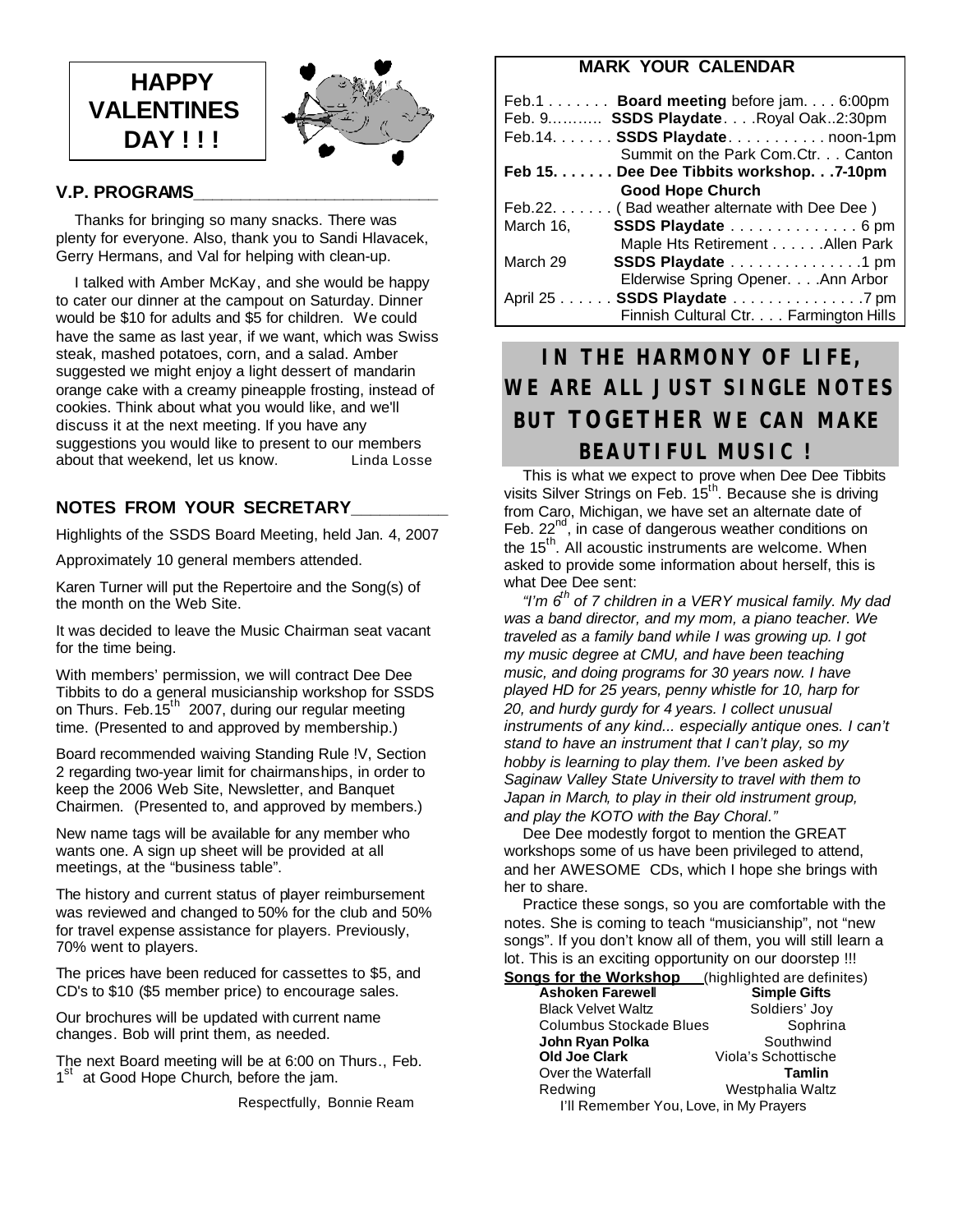



#### **V.P. PROGRAMS\_\_\_\_\_\_\_\_\_\_\_\_\_\_\_\_\_\_\_\_\_\_\_\_\_\_**

 Thanks for bringing so many snacks. There was plenty for everyone. Also, thank you to Sandi Hlavacek, Gerry Hermans, and Val for helping with clean-up.

 I talked with Amber McKay, and she would be happy to cater our dinner at the campout on Saturday. Dinner would be \$10 for adults and \$5 for children. We could have the same as last year, if we want, which was Swiss steak, mashed potatoes, corn, and a salad. Amber suggested we might enjoy a light dessert of mandarin orange cake with a creamy pineapple frosting, instead of cookies. Think about what you would like, and we'll discuss it at the next meeting. If you have any suggestions you would like to present to our members<br>about that weekend. let us know. Linda Losse about that weekend, let us know.

#### **NOTES FROM YOUR SECRETARY\_\_\_\_\_\_\_\_\_\_**

Highlights of the SSDS Board Meeting, held Jan. 4, 2007

Approximately 10 general members attended.

Karen Turner will put the Repertoire and the Song(s) of the month on the Web Site.

It was decided to leave the Music Chairman seat vacant for the time being.

With members' permission, we will contract Dee Dee Tibbits to do a general musicianship workshop for SSDS on Thurs. Feb.15<sup>th</sup> 2007, during our regular meeting time. (Presented to and approved by membership.)

Board recommended waiving Standing Rule !V, Section 2 regarding two-year limit for chairmanships, in order to keep the 2006 Web Site, Newsletter, and Banquet Chairmen. (Presented to, and approved by members.)

New name tags will be available for any member who wants one. A sign up sheet will be provided at all meetings, at the "business table".

The history and current status of player reimbursement was reviewed and changed to 50% for the club and 50% for travel expense assistance for players. Previously, 70% went to players.

The prices have been reduced for cassettes to \$5, and CD's to \$10 (\$5 member price) to encourage sales.

Our brochures will be updated with current name changes. Bob will print them, as needed.

The next Board meeting will be at 6:00 on Thurs., Feb. 1<sup>st</sup> at Good Hope Church, before the jam.

Respectfully, Bonnie Ream

#### **MARK YOUR CALENDAR**

|           | Feb.1 Board meeting before jam. 6:00pm       |
|-----------|----------------------------------------------|
|           | Feb. 9 SSDS Playdate. Royal Oak2:30pm        |
|           | Feb.14. SSDS Playdate. noon-1pm              |
|           | Summit on the Park Com.Ctr. Canton           |
|           | Feb 15. Dee Dee Tibbits workshop. 7-10pm     |
|           | <b>Good Hope Church</b>                      |
|           | Feb.22. (Bad weather alternate with Dee Dee) |
| March 16, | SSDS Playdate 6 pm                           |
|           | Maple Hts Retirement Allen Park              |
| March 29  | SSDS Playdate 1 pm                           |
|           | Elderwise Spring Opener. Ann Arbor           |
|           | April 25 SSDS Playdate 7 pm                  |
|           | Finnish Cultural Ctr. Farmington Hills       |

# **IN THE HARMONY OF LIFE, WE ARE ALL JUST SINGLE NOTES BUT TOGETHER WE CAN MAKE BEAUTIFUL MUSIC !**

 This is what we expect to prove when Dee Dee Tibbits visits Silver Strings on Feb. 15<sup>th</sup>. Because she is driving from Caro, Michigan, we have set an alternate date of Feb.  $22^{nd}$ , in case of dangerous weather conditions on the 15<sup>th</sup>. All acoustic instruments are welcome. When asked to provide some information about herself, this is what Dee Dee sent:

 *"I'm 6th of 7 children in a VERY musical family. My dad was a band director, and my mom, a piano teacher. We traveled as a family band while I was growing up. I got my music degree at CMU, and have been teaching music, and doing programs for 30 years now. I have played HD for 25 years, penny whistle for 10, harp for 20, and hurdy gurdy for 4 years. I collect unusual instruments of any kind... especially antique ones. I can't stand to have an instrument that I can't play, so my hobby is learning to play them. I've been asked by Saginaw Valley State University to travel with them to Japan in March, to play in their old instrument group, and play the KOTO with the Bay Choral."*

 Dee Dee modestly forgot to mention the GREAT workshops some of us have been privileged to attend, and her AWESOME CDs, which I hope she brings with her to share.

 Practice these songs, so you are comfortable with the notes. She is coming to teach "musicianship", not "new songs". If you don't know all of them, you will still learn a lot. This is an exciting opportunity on our doorstep !!! **Songs for the Workshop** (highlighted are definites)

| שטוועט וטו עופ זיטומאט                 | ungunguted are demines |
|----------------------------------------|------------------------|
| <b>Ashoken Farewell</b>                | <b>Simple Gifts</b>    |
| <b>Black Velvet Waltz</b>              | Soldiers' Joy          |
| Columbus Stockade Blues                | Sophrina               |
| John Ryan Polka                        | Southwind              |
| <b>Old Joe Clark</b>                   | Viola's Schottische    |
| Over the Waterfall                     | Tamlin                 |
| Redwing                                | Westphalia Waltz       |
| I'll Remember You, Love, in My Prayers |                        |
|                                        |                        |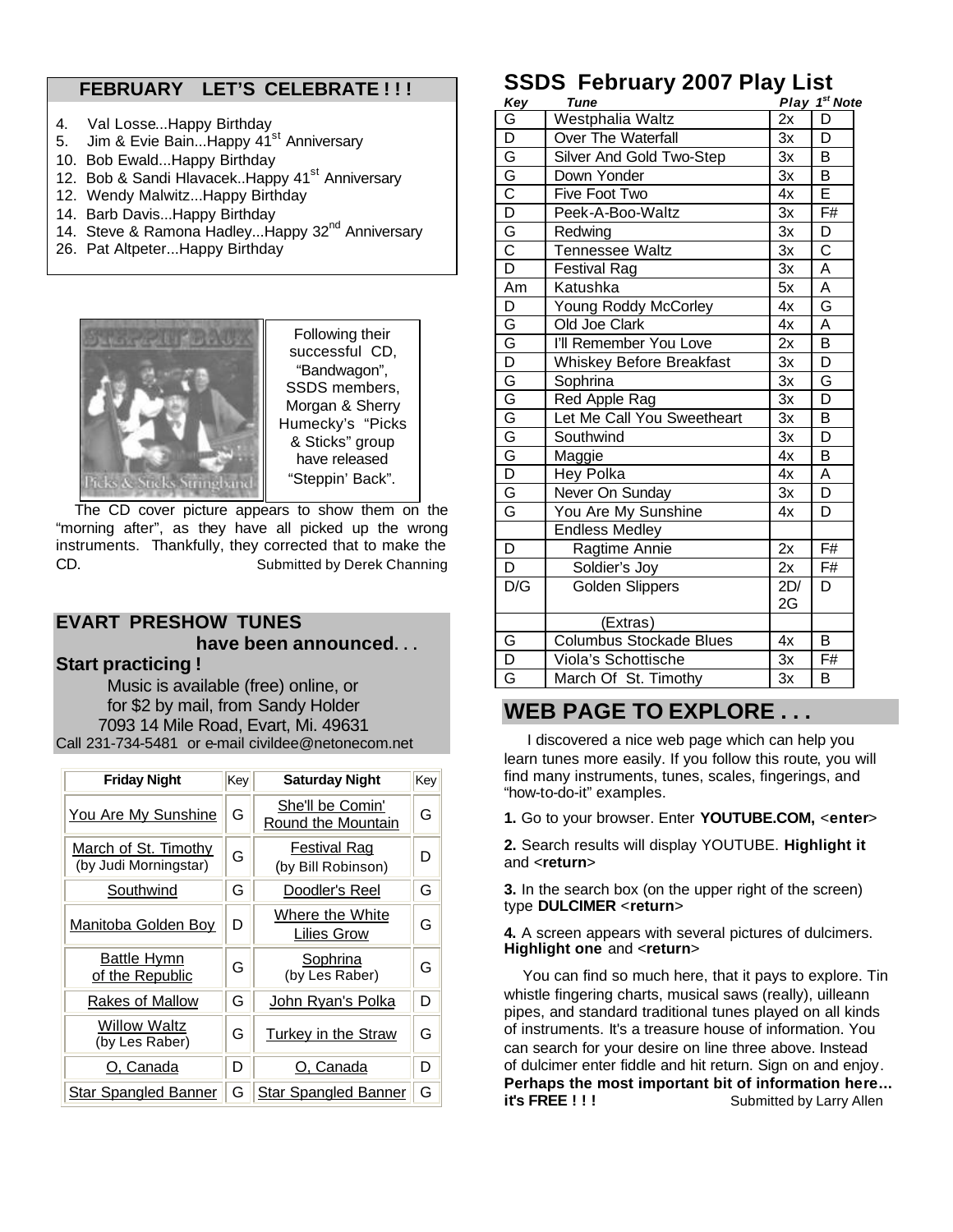### **FEBRUARY LET'S CELEBRATE ! ! !**

- 4. Val Losse...Happy Birthday
- 5. Jim & Evie Bain...Happy 41<sup>st</sup> Anniversary
- 10. Bob Ewald...Happy Birthday
- 12. Bob & Sandi Hlavacek..Happy 41<sup>st</sup> Anniversary
- 12. Wendy Malwitz...Happy Birthday
- 14. Barb Davis...Happy Birthday
- 14. Steve & Ramona Hadley... Happy 32<sup>nd</sup> Anniversary
- 26. Pat Altpeter...Happy Birthday



Following their successful CD, "Bandwagon", SSDS members, Morgan & Sherry Humecky's "Picks & Sticks" group have released "Steppin' Back".

 The CD cover picture appears to show them on the "morning after", as they have all picked up the wrong instruments. Thankfully, they corrected that to make the CD. Submitted by Derek Channing

#### **EVART PRESHOW TUNES have been announced. . . Start practicing !**

 Music is available (free) online, or for \$2 by mail, from Sandy Holder 7093 14 Mile Road, Evart, Mi. 49631 Call 231-734-5481 or e-mail civildee@netonecom.net

| <b>Friday Night</b>                           |  | <b>Saturday Night</b>                     | Key |
|-----------------------------------------------|--|-------------------------------------------|-----|
| <b>You Are My Sunshine</b>                    |  | She'll be Comin'<br>Round the Mountain    | G   |
| March of St. Timothy<br>(by Judi Morningstar) |  | <b>Festival Rag</b><br>(by Bill Robinson) | D   |
| Southwind                                     |  | Doodler's Reel                            | G   |
| Manitoba Golden Boy                           |  | Where the White<br>Lilies Grow            | G   |
| <b>Battle Hymn</b><br>of the Republic         |  | <b>Sophrina</b><br>(by Les Raber)         | G   |
| <b>Rakes of Mallow</b>                        |  | John Ryan's Polka                         | D   |
| <b>Willow Waltz</b><br>(by Les Raber)         |  | <b>Turkey in the Straw</b>                |     |
| O, Canada                                     |  | O, Canada                                 | D   |
| <b>Star Spangled Banner</b>                   |  | <b>Star Spangled Banner</b>               | G   |

# **SSDS February 2007 Play List**

|                                  | $\sim$ au j lui<br>,, , , , ,   |     |                           |
|----------------------------------|---------------------------------|-----|---------------------------|
| Key                              | <b>Tune</b>                     |     | Play 1 <sup>st</sup> Note |
| G                                | Westphalia Waltz                | 2x  | D                         |
| D                                | Over The Waterfall              | 3x  | D                         |
| G                                | Silver And Gold Two-Step        | Зx  | B                         |
| $\bar{\mathsf{G}}$               | Down Yonder                     | Зx  | В                         |
| $\overline{\text{c}}$            | Five Foot Two                   | 4x  | Е                         |
| $\overline{\mathsf{D}}$          | Peek-A-Boo-Waltz                | 3x  | F#                        |
| G                                | Redwing                         | 3x  | D                         |
| $\overline{\overline{\text{c}}}$ | <b>Tennessee Waltz</b>          | 3x  | $\overline{\text{c}}$     |
| $\overline{\mathsf{D}}$          | <b>Festival Rag</b>             | 3x  | A                         |
| Am                               | Katushka                        | 5x  | A                         |
| D                                | Young Roddy McCorley            | 4x  | G                         |
| G                                | Old Joe Clark                   | 4x  | A                         |
| $\bar{\mathsf{G}}$               | I'll Remember You Love          | 2x  | $\overline{\mathsf{B}}$   |
| $\overline{\mathsf{D}}$          | <b>Whiskey Before Breakfast</b> | 3x  | D                         |
| G                                | Sophrina                        | 3x  | G                         |
| $\bar{G}$                        | Red Apple Rag                   | 3x  | D                         |
| G                                | Let Me Call You Sweetheart      | 3x  | B                         |
| G                                | Southwind                       | 3x  | D                         |
| G                                | Maggie                          | 4x  | B                         |
| $\overline{\mathsf{D}}$          | Hey Polka                       | 4x  | A                         |
| G                                | Never On Sunday                 | 3x  | D                         |
| G                                | You Are My Sunshine             | 4x  | D                         |
|                                  | <b>Endless Medley</b>           |     |                           |
| D                                | Ragtime Annie                   | 2x  | F#                        |
| D                                | Soldier's Joy                   | 2x  | F#                        |
| $D/\overline{G}$                 | <b>Golden Slippers</b>          | 2D/ | D                         |
|                                  |                                 | 2G  |                           |
|                                  | (Extras)                        |     |                           |
| G                                | Columbus Stockade Blues         | 4x  | B                         |
| D                                | Viola's Schottische             | 3x  | F#                        |
| G                                | March Of St. Timothy            | 3x  | B                         |

## **WEB PAGE TO EXPLORE . . .**

 I discovered a nice web page which can help you learn tunes more easily. If you follow this route, you will find many instruments, tunes, scales, fingerings, and "how-to-do-it" examples.

**1.** Go to your browser. Enter **YOUTUBE.COM,** <**enter**>

**2.** Search results will display YOUTUBE. **Highlight it** and <**return**>

**3.** In the search box (on the upper right of the screen) type **DULCIMER** <**return**>

**4.** A screen appears with several pictures of dulcimers. **Highlight one** and <**return**>

 You can find so much here, that it pays to explore. Tin whistle fingering charts, musical saws (really), uilleann pipes, and standard traditional tunes played on all kinds of instruments. It's a treasure house of information. You can search for your desire on line three above. Instead of dulcimer enter fiddle and hit return. Sign on and enjoy. **Perhaps the most important bit of information here... it's FREE !!!** Submitted by Larry Allen